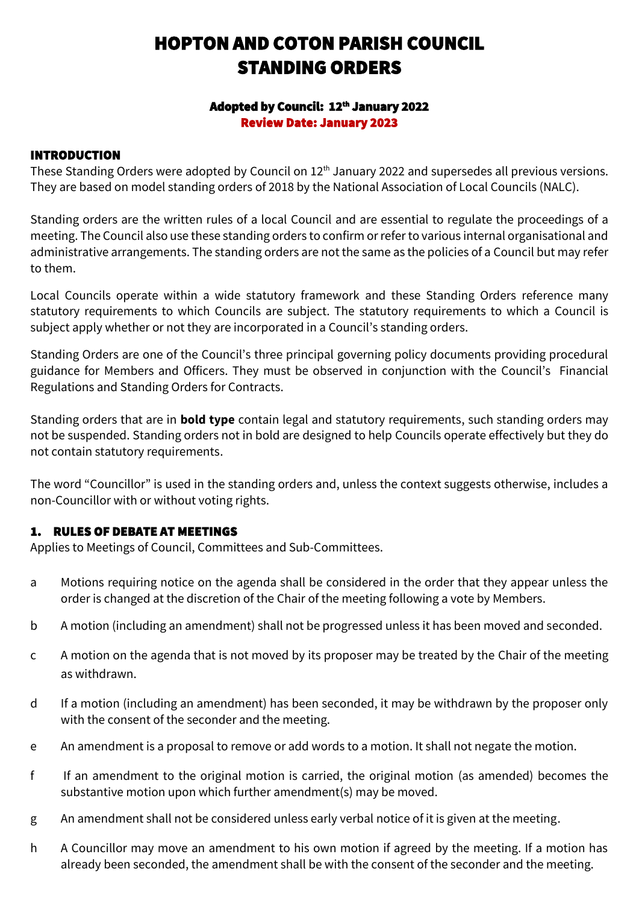# HOPTON AND COTON PARISH COUNCIL STANDING ORDERS

### Adopted by Council: 12<sup>th</sup> January 2022 Review Date: January 2023

### INTRODUCTION

These Standing Orders were adopted by Council on 12<sup>th</sup> January 2022 and supersedes all previous versions. They are based on model standing orders of 2018 by the National Association of Local Councils (NALC).

Standing orders are the written rules of a local Council and are essential to regulate the proceedings of a meeting. The Council also use these standing orders to confirm or refer to various internal organisational and administrative arrangements. The standing orders are not the same as the policies of a Council but may refer to them.

Local Councils operate within a wide statutory framework and these Standing Orders reference many statutory requirements to which Councils are subject. The statutory requirements to which a Council is subject apply whether or not they are incorporated in a Council's standing orders.

Standing Orders are one of the Council's three principal governing policy documents providing procedural guidance for Members and Officers. They must be observed in conjunction with the Council's Financial Regulations and Standing Orders for Contracts.

Standing orders that are in **bold type** contain legal and statutory requirements, such standing orders may not be suspended. Standing orders not in bold are designed to help Councils operate effectively but they do not contain statutory requirements.

The word "Councillor" is used in the standing orders and, unless the context suggests otherwise, includes a non-Councillor with or without voting rights.

### 1. RULES OF DEBATE AT MEETINGS

Applies to Meetings of Council, Committees and Sub-Committees.

- a Motions requiring notice on the agenda shall be considered in the order that they appear unless the order is changed at the discretion of the Chair of the meeting following a vote by Members.
- b A motion (including an amendment) shall not be progressed unless it has been moved and seconded.
- c A motion on the agenda that is not moved by its proposer may be treated by the Chair of the meeting as withdrawn.
- d If a motion (including an amendment) has been seconded, it may be withdrawn by the proposer only with the consent of the seconder and the meeting.
- e An amendment is a proposal to remove or add words to a motion. It shall not negate the motion.
- f If an amendment to the original motion is carried, the original motion (as amended) becomes the substantive motion upon which further amendment(s) may be moved.
- g An amendment shall not be considered unless early verbal notice of it is given at the meeting.
- h A Councillor may move an amendment to his own motion if agreed by the meeting. If a motion has already been seconded, the amendment shall be with the consent of the seconder and the meeting.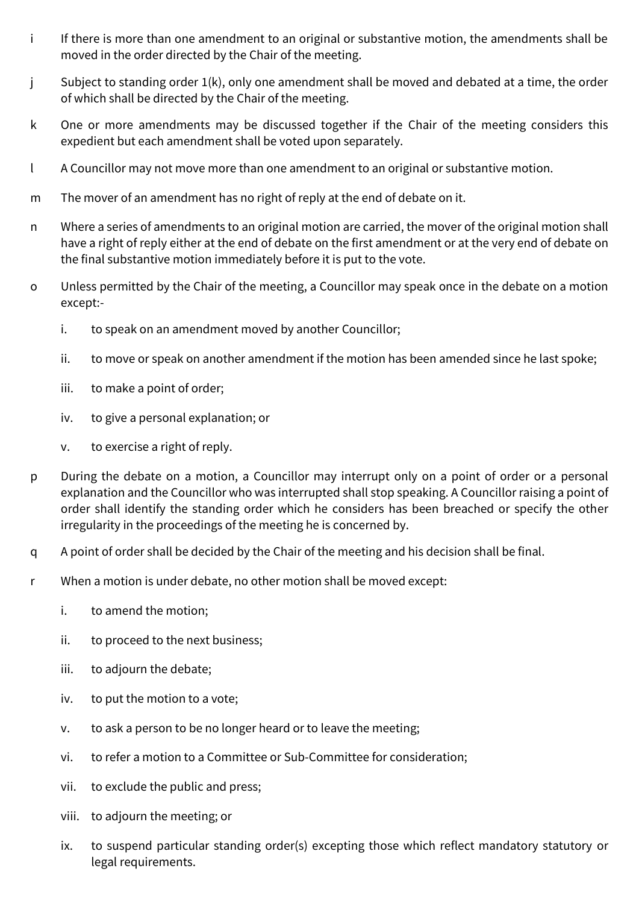- i If there is more than one amendment to an original or substantive motion, the amendments shall be moved in the order directed by the Chair of the meeting.
- j Subject to standing order 1(k), only one amendment shall be moved and debated at a time, the order of which shall be directed by the Chair of the meeting.
- k One or more amendments may be discussed together if the Chair of the meeting considers this expedient but each amendment shall be voted upon separately.
- l A Councillor may not move more than one amendment to an original or substantive motion.
- m The mover of an amendment has no right of reply at the end of debate on it.
- n Where a series of amendments to an original motion are carried, the mover of the original motion shall have a right of reply either at the end of debate on the first amendment or at the very end of debate on the final substantive motion immediately before it is put to the vote.
- o Unless permitted by the Chair of the meeting, a Councillor may speak once in the debate on a motion except:
	- i. to speak on an amendment moved by another Councillor;
	- ii. to move or speak on another amendment if the motion has been amended since he last spoke;
	- iii. to make a point of order;
	- iv. to give a personal explanation; or
	- v. to exercise a right of reply.
- p During the debate on a motion, a Councillor may interrupt only on a point of order or a personal explanation and the Councillor who was interrupted shall stop speaking. A Councillor raising a point of order shall identify the standing order which he considers has been breached or specify the other irregularity in the proceedings of the meeting he is concerned by.
- q A point of order shall be decided by the Chair of the meeting and his decision shall be final.
- r When a motion is under debate, no other motion shall be moved except:
	- i. to amend the motion;
	- ii. to proceed to the next business;
	- iii. to adjourn the debate;
	- iv. to put the motion to a vote;
	- v. to ask a person to be no longer heard or to leave the meeting;
	- vi. to refer a motion to a Committee or Sub-Committee for consideration;
	- vii. to exclude the public and press;
	- viii. to adjourn the meeting; or
	- ix. to suspend particular standing order(s) excepting those which reflect mandatory statutory or legal requirements.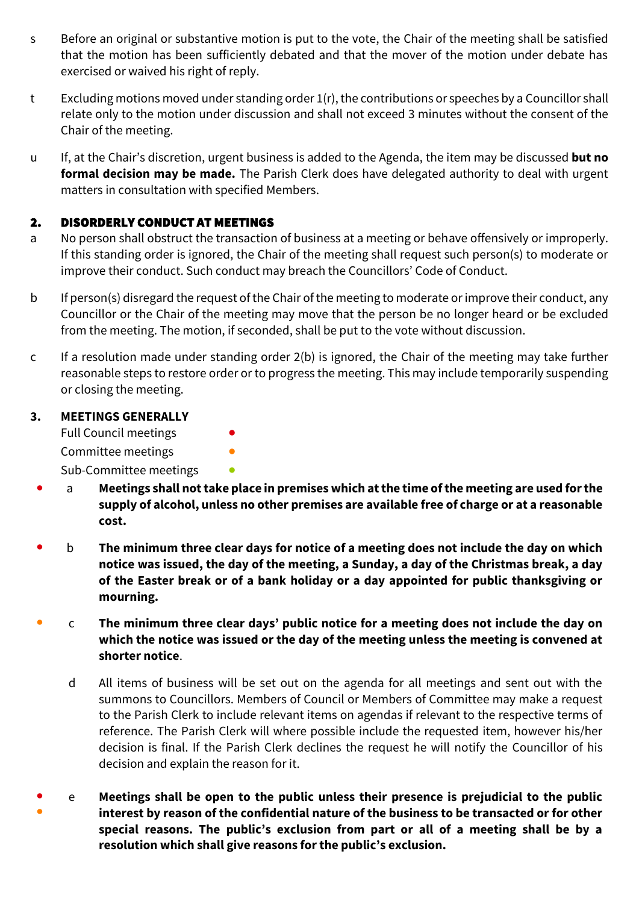- s Before an original or substantive motion is put to the vote, the Chair of the meeting shall be satisfied that the motion has been sufficiently debated and that the mover of the motion under debate has exercised or waived his right of reply.
- t Excluding motions moved under standing order 1(r), the contributions or speeches by a Councillor shall relate only to the motion under discussion and shall not exceed 3 minutes without the consent of the Chair of the meeting.
- u If, at the Chair's discretion, urgent business is added to the Agenda, the item may be discussed **but no formal decision may be made.** The Parish Clerk does have delegated authority to deal with urgent matters in consultation with specified Members.

### 2. DISORDERLY CONDUCT AT MEETINGS

- a No person shall obstruct the transaction of business at a meeting or behave offensively or improperly. If this standing order is ignored, the Chair of the meeting shall request such person(s) to moderate or improve their conduct. Such conduct may breach the Councillors' Code of Conduct.
- b If person(s) disregard the request of the Chair of the meeting to moderate or improve their conduct, any Councillor or the Chair of the meeting may move that the person be no longer heard or be excluded from the meeting. The motion, if seconded, shall be put to the vote without discussion.
- c If a resolution made under standing order 2(b) is ignored, the Chair of the meeting may take further reasonable steps to restore order or to progress the meeting. This may include temporarily suspending or closing the meeting.

### **3. MEETINGS GENERALLY**

Full Council meetings Committee meetings **•** Sub-Committee meetings **•** 

- a **Meetings shall not take place in premises which at the time of the meeting are used for the supply of alcohol, unless no other premises are available free of charge or at a reasonable cost.**
- b **The minimum three clear days for notice of a meeting does not include the day on which notice was issued, the day of the meeting, a Sunday, a day of the Christmas break, a day of the Easter break or of a bank holiday or a day appointed for public thanksgiving or mourning.**
- c **The minimum three clear days' public notice for a meeting does not include the day on which the notice was issued or the day of the meeting unless the meeting is convened at shorter notice**.
	- d All items of business will be set out on the agenda for all meetings and sent out with the summons to Councillors. Members of Council or Members of Committee may make a request to the Parish Clerk to include relevant items on agendas if relevant to the respective terms of reference. The Parish Clerk will where possible include the requested item, however his/her decision is final. If the Parish Clerk declines the request he will notify the Councillor of his decision and explain the reason for it.
- ● e **Meetings shall be open to the public unless their presence is prejudicial to the public interest by reason of the confidential nature of the business to be transacted or for other special reasons. The public's exclusion from part or all of a meeting shall be by a resolution which shall give reasons for the public's exclusion.**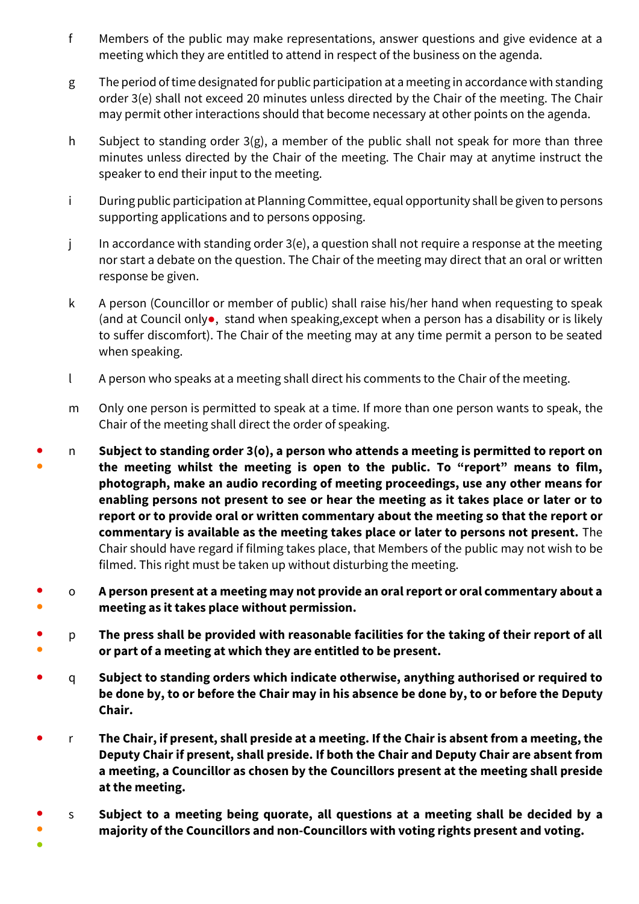- f Members of the public may make representations, answer questions and give evidence at a meeting which they are entitled to attend in respect of the business on the agenda.
- g The period of time designated for public participation at a meeting in accordance with standing order 3(e) shall not exceed 20 minutes unless directed by the Chair of the meeting. The Chair may permit other interactions should that become necessary at other points on the agenda.
- h Subject to standing order  $3(g)$ , a member of the public shall not speak for more than three minutes unless directed by the Chair of the meeting. The Chair may at anytime instruct the speaker to end their input to the meeting.
- i During public participation at Planning Committee, equal opportunity shall be given to persons supporting applications and to persons opposing.
- j In accordance with standing order 3(e), a question shall not require a response at the meeting nor start a debate on the question. The Chair of the meeting may direct that an oral or written response be given.
- k A person (Councillor or member of public) shall raise his/her hand when requesting to speak (and at Council only●, stand when speaking,except when a person has a disability or is likely to suffer discomfort). The Chair of the meeting may at any time permit a person to be seated when speaking.
- l A person who speaks at a meeting shall direct his comments to the Chair of the meeting.
- m Only one person is permitted to speak at a time. If more than one person wants to speak, the Chair of the meeting shall direct the order of speaking.
- ● n **Subject to standing order 3(o), a person who attends a meeting is permitted to report on the meeting whilst the meeting is open to the public. To "report" means to film, photograph, make an audio recording of meeting proceedings, use any other means for enabling persons not present to see or hear the meeting as it takes place or later or to report or to provide oral or written commentary about the meeting so that the report or commentary is available as the meeting takes place or later to persons not present.** The Chair should have regard if filming takes place, that Members of the public may not wish to be filmed. This right must be taken up without disturbing the meeting.
- ● o **A person present at a meeting may not provide an oral report or oral commentary about a meeting as it takes place without permission.**
- ● p **The press shall be provided with reasonable facilities for the taking of their report of all or part of a meeting at which they are entitled to be present.**
- q **Subject to standing orders which indicate otherwise, anything authorised or required to be done by, to or before the Chair may in his absence be done by, to or before the Deputy Chair.**
- r **The Chair, if present, shall preside at a meeting. If the Chair is absent from a meeting, the Deputy Chair if present, shall preside. If both the Chair and Deputy Chair are absent from a meeting, a Councillor as chosen by the Councillors present at the meeting shall preside at the meeting.**
- ● s **Subject to a meeting being quorate, all questions at a meeting shall be decided by a majority of the Councillors and non-Councillors with voting rights present and voting.**
- $\bullet$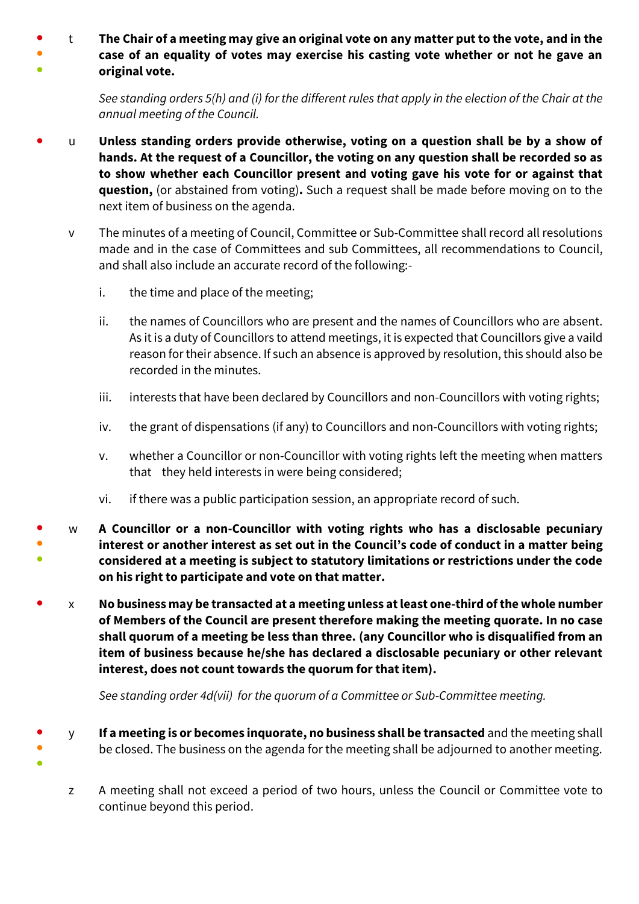● ● ● t **The Chair of a meeting may give an original vote on any matter put to the vote, and in the case of an equality of votes may exercise his casting vote whether or not he gave an original vote.**

> *See standing orders 5(h) and (i) for the different rules that apply in the election of the Chair at the annual meeting of the Council.*

- u **Unless standing orders provide otherwise, voting on a question shall be by a show of hands. At the request of a Councillor, the voting on any question shall be recorded so as to show whether each Councillor present and voting gave his vote for or against that question,** (or abstained from voting)**.** Such a request shall be made before moving on to the next item of business on the agenda.
	- v The minutes of a meeting of Council, Committee or Sub-Committee shall record all resolutions made and in the case of Committees and sub Committees, all recommendations to Council, and shall also include an accurate record of the following:
		- i. the time and place of the meeting;

●

- ii. the names of Councillors who are present and the names of Councillors who are absent. As it is a duty of Councillors to attend meetings, it is expected that Councillors give a vaild reason for their absence. If such an absence is approved by resolution, this should also be recorded in the minutes.
- iii. interests that have been declared by Councillors and non-Councillors with voting rights;
- iv. the grant of dispensations (if any) to Councillors and non-Councillors with voting rights;
- v. whether a Councillor or non-Councillor with voting rights left the meeting when matters that they held interests in were being considered;
- vi. if there was a public participation session, an appropriate record of such.
- ● ● w **A Councillor or a non-Councillor with voting rights who has a disclosable pecuniary interest or another interest as set out in the Council's code of conduct in a matter being considered at a meeting is subject to statutory limitations or restrictions under the code on his right to participate and vote on that matter.**
- x **No business may be transacted at a meeting unless at least one-third of the whole number of Members of the Council are present therefore making the meeting quorate. In no case shall quorum of a meeting be less than three. (any Councillor who is disqualified from an item of business because he/she has declared a disclosable pecuniary or other relevant interest, does not count towards the quorum for that item).**

*See standing order 4d(vii) for the quorum of a Committee or Sub-Committee meeting.* 

- ● y **If a meeting is or becomes inquorate, no business shall be transacted** and the meeting shall be closed. The business on the agenda for the meeting shall be adjourned to another meeting.
	- z A meeting shall not exceed a period of two hours, unless the Council or Committee vote to continue beyond this period.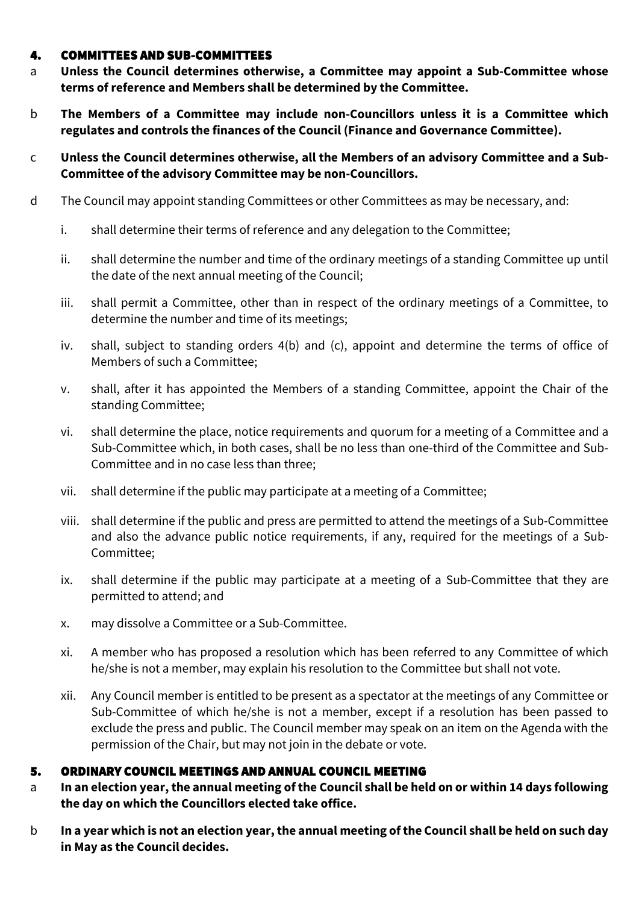#### 4. COMMITTEES AND SUB-COMMITTEES

- a **Unless the Council determines otherwise, a Committee may appoint a Sub-Committee whose terms of reference and Members shall be determined by the Committee.**
- b **The Members of a Committee may include non-Councillors unless it is a Committee which regulates and controls the finances of the Council (Finance and Governance Committee).**
- c **Unless the Council determines otherwise, all the Members of an advisory Committee and a Sub-Committee of the advisory Committee may be non-Councillors.**
- d The Council may appoint standing Committees or other Committees as may be necessary, and:
	- i. shall determine their terms of reference and any delegation to the Committee;
	- ii. shall determine the number and time of the ordinary meetings of a standing Committee up until the date of the next annual meeting of the Council;
	- iii. shall permit a Committee, other than in respect of the ordinary meetings of a Committee, to determine the number and time of its meetings;
	- iv. shall, subject to standing orders 4(b) and (c), appoint and determine the terms of office of Members of such a Committee;
	- v. shall, after it has appointed the Members of a standing Committee, appoint the Chair of the standing Committee;
	- vi. shall determine the place, notice requirements and quorum for a meeting of a Committee and a Sub-Committee which, in both cases, shall be no less than one-third of the Committee and Sub-Committee and in no case less than three;
	- vii. shall determine if the public may participate at a meeting of a Committee;
	- viii. shall determine if the public and press are permitted to attend the meetings of a Sub-Committee and also the advance public notice requirements, if any, required for the meetings of a Sub-Committee;
	- ix. shall determine if the public may participate at a meeting of a Sub-Committee that they are permitted to attend; and
	- x. may dissolve a Committee or a Sub-Committee.
	- xi. A member who has proposed a resolution which has been referred to any Committee of which he/she is not a member, may explain his resolution to the Committee but shall not vote.
	- xii. Any Council member is entitled to be present as a spectator at the meetings of any Committee or Sub-Committee of which he/she is not a member, except if a resolution has been passed to exclude the press and public. The Council member may speak on an item on the Agenda with the permission of the Chair, but may not join in the debate or vote.

### 5. ORDINARY COUNCIL MEETINGS AND ANNUAL COUNCIL MEETING

- a **In an election year, the annual meeting of the Council shall be held on or within 14 days following the day on which the Councillors elected take office.**
- b **In a year which is not an election year, the annual meeting of the Council shall be held on such day in May as the Council decides.**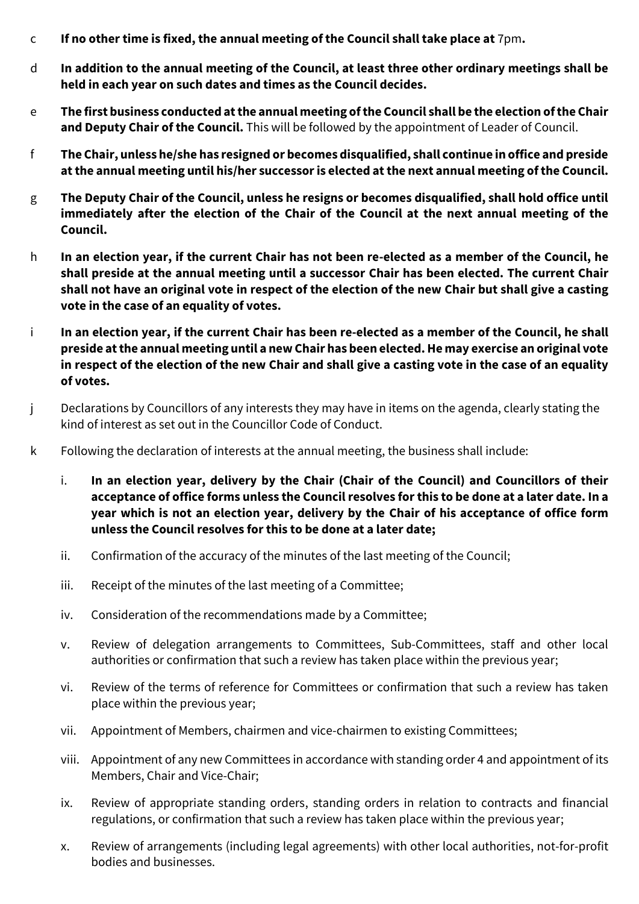- c **If no other time is fixed, the annual meeting of the Council shall take place at** 7pm**.**
- d **In addition to the annual meeting of the Council, at least three other ordinary meetings shall be held in each year on such dates and times as the Council decides.**
- e **The first business conducted at the annual meeting of the Council shall be the election of the Chair and Deputy Chair of the Council.** This will be followed by the appointment of Leader of Council.
- f **The Chair, unless he/she has resigned or becomes disqualified, shall continue in office and preside at the annual meeting until his/her successor is elected at the next annual meeting of the Council.**
- g **The Deputy Chair of the Council, unless he resigns or becomes disqualified, shall hold office until immediately after the election of the Chair of the Council at the next annual meeting of the Council.**
- h **In an election year, if the current Chair has not been re-elected as a member of the Council, he shall preside at the annual meeting until a successor Chair has been elected. The current Chair shall not have an original vote in respect of the election of the new Chair but shall give a casting vote in the case of an equality of votes.**
- i **In an election year, if the current Chair has been re-elected as a member of the Council, he shall preside at the annual meeting until a new Chair has been elected. He may exercise an original vote in respect of the election of the new Chair and shall give a casting vote in the case of an equality of votes.**
- j Declarations by Councillors of any interests they may have in items on the agenda, clearly stating the kind of interest as set out in the Councillor Code of Conduct.
- k Following the declaration of interests at the annual meeting, the business shall include:
	- i. **In an election year, delivery by the Chair (Chair of the Council) and Councillors of their acceptance of office forms unless the Councilresolves for this to be done at a later date. In a year which is not an election year, delivery by the Chair of his acceptance of office form unless the Council resolves for this to be done at a later date;**
	- ii. Confirmation of the accuracy of the minutes of the last meeting of the Council;
	- iii. Receipt of the minutes of the last meeting of a Committee;
	- iv. Consideration of the recommendations made by a Committee;
	- v. Review of delegation arrangements to Committees, Sub-Committees, staff and other local authorities or confirmation that such a review has taken place within the previous year;
	- vi. Review of the terms of reference for Committees or confirmation that such a review has taken place within the previous year;
	- vii. Appointment of Members, chairmen and vice-chairmen to existing Committees;
	- viii. Appointment of any new Committees in accordance with standing order 4 and appointment of its Members, Chair and Vice-Chair;
	- ix. Review of appropriate standing orders, standing orders in relation to contracts and financial regulations, or confirmation that such a review has taken place within the previous year;
	- x. Review of arrangements (including legal agreements) with other local authorities, not-for-profit bodies and businesses.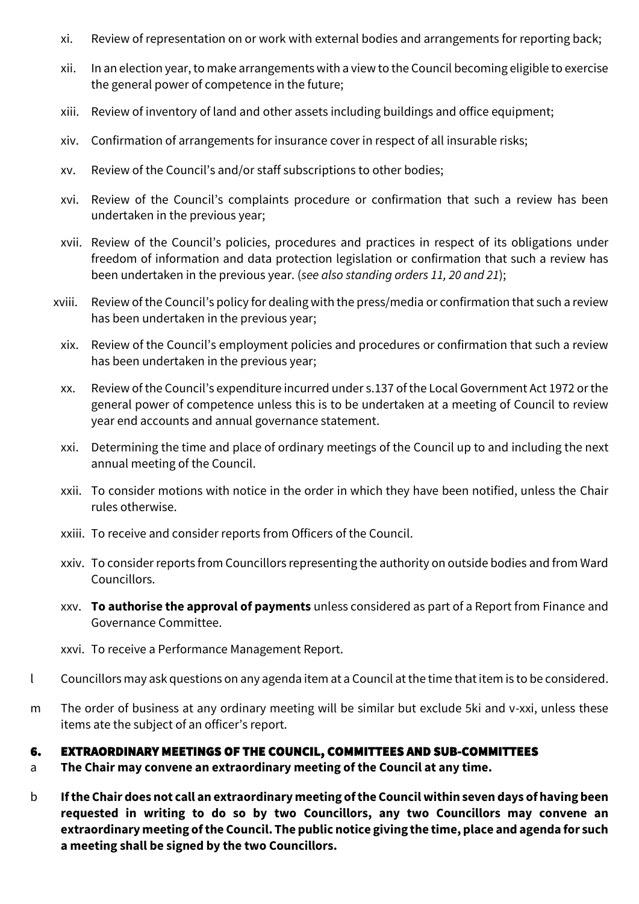- xi. Review of representation on or work with external bodies and arrangements for reporting back;
- xii. In an election year, to make arrangements with a view to the Council becoming eligible to exercise the general power of competence in the future;
- xiii. Review of inventory of land and other assets including buildings and office equipment;
- xiv. Confirmation of arrangements for insurance cover in respect of all insurable risks;
- xv. Review of the Council's and/or staff subscriptions to other bodies;
- xvi. Review of the Council's complaints procedure or confirmation that such a review has been undertaken in the previous year;
- xvii. Review of the Council's policies, procedures and practices in respect of its obligations under freedom of information and data protection legislation or confirmation that such a review has been undertaken in the previous year. (*see also standing orders 11, 20 and 21*);
- xviii. Review of the Council's policy for dealing with the press/media or confirmation that such a review has been undertaken in the previous year;
	- xix. Review of the Council's employment policies and procedures or confirmation that such a review has been undertaken in the previous year;
	- xx. Review of the Council's expenditure incurred under s.137 of the Local Government Act 1972 or the general power of competence unless this is to be undertaken at a meeting of Council to review year end accounts and annual governance statement.
	- xxi. Determining the time and place of ordinary meetings of the Council up to and including the next annual meeting of the Council.
	- xxii. To consider motions with notice in the order in which they have been notified, unless the Chair rules otherwise.
	- xxiii. To receive and consider reports from Officers of the Council.
	- xxiv. To consider reports from Councillors representing the authority on outside bodies and from Ward Councillors.
	- xxv. **To authorise the approval of payments** unless considered as part of a Report from Finance and Governance Committee.
- xxvi. To receive a Performance Management Report.
- l Councillors may ask questions on any agenda item at a Council at the time that item is to be considered.
- m The order of business at any ordinary meeting will be similar but exclude 5ki and v-xxi, unless these items ate the subject of an officer's report.

#### 6. EXTRAORDINARY MEETINGS OF THE COUNCIL, COMMITTEES AND SUB-COMMITTEES

- a **The Chair may convene an extraordinary meeting of the Council at any time.**
- b **If the Chair does not call an extraordinary meeting of the Council within seven days of having been requested in writing to do so by two Councillors, any two Councillors may convene an extraordinary meeting of the Council. The public notice giving the time, place and agenda for such a meeting shall be signed by the two Councillors.**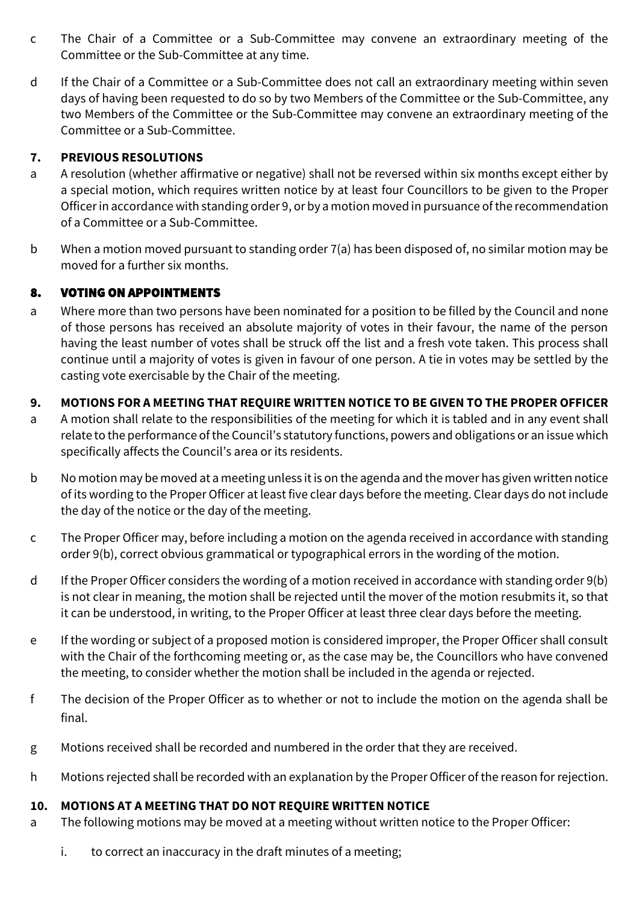- c The Chair of a Committee or a Sub-Committee may convene an extraordinary meeting of the Committee or the Sub-Committee at any time.
- d If the Chair of a Committee or a Sub-Committee does not call an extraordinary meeting within seven days of having been requested to do so by two Members of the Committee or the Sub-Committee, any two Members of the Committee or the Sub-Committee may convene an extraordinary meeting of the Committee or a Sub-Committee.

### **7. PREVIOUS RESOLUTIONS**

- a A resolution (whether affirmative or negative) shall not be reversed within six months except either by a special motion, which requires written notice by at least four Councillors to be given to the Proper Officer in accordance with standing order 9, or by a motion moved in pursuance of the recommendation of a Committee or a Sub-Committee.
- b When a motion moved pursuant to standing order 7(a) has been disposed of, no similar motion may be moved for a further six months.

### 8. VOTING ON APPOINTMENTS

a Where more than two persons have been nominated for a position to be filled by the Council and none of those persons has received an absolute majority of votes in their favour, the name of the person having the least number of votes shall be struck off the list and a fresh vote taken. This process shall continue until a majority of votes is given in favour of one person. A tie in votes may be settled by the casting vote exercisable by the Chair of the meeting.

### **9. MOTIONS FOR A MEETING THAT REQUIRE WRITTEN NOTICE TO BE GIVEN TO THE PROPER OFFICER**

- a A motion shall relate to the responsibilities of the meeting for which it is tabled and in any event shall relate to the performance of the Council's statutory functions, powers and obligations or an issue which specifically affects the Council's area or its residents.
- b No motion may be moved at a meeting unless it is on the agenda and the mover has given written notice of its wording to the Proper Officer at least five clear days before the meeting. Clear days do not include the day of the notice or the day of the meeting.
- c The Proper Officer may, before including a motion on the agenda received in accordance with standing order 9(b), correct obvious grammatical or typographical errors in the wording of the motion.
- d If the Proper Officer considers the wording of a motion received in accordance with standing order 9(b) is not clear in meaning, the motion shall be rejected until the mover of the motion resubmits it, so that it can be understood, in writing, to the Proper Officer at least three clear days before the meeting.
- e If the wording or subject of a proposed motion is considered improper, the Proper Officer shall consult with the Chair of the forthcoming meeting or, as the case may be, the Councillors who have convened the meeting, to consider whether the motion shall be included in the agenda or rejected.
- f The decision of the Proper Officer as to whether or not to include the motion on the agenda shall be final.
- g Motions received shall be recorded and numbered in the order that they are received.
- h Motions rejected shall be recorded with an explanation by the Proper Officer of the reason for rejection.

### **10. MOTIONS AT A MEETING THAT DO NOT REQUIRE WRITTEN NOTICE**

- a The following motions may be moved at a meeting without written notice to the Proper Officer:
	- i. to correct an inaccuracy in the draft minutes of a meeting;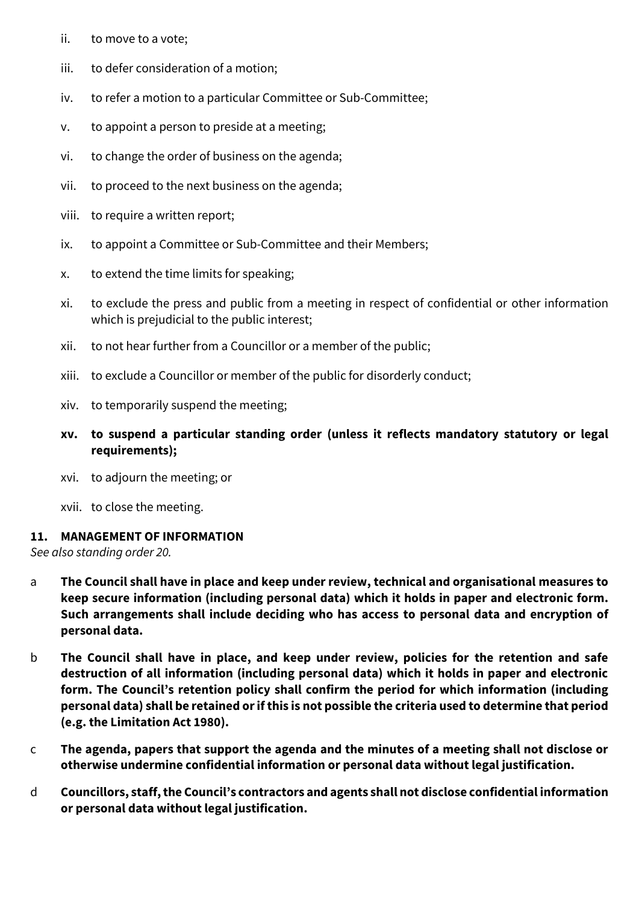- ii. to move to a vote;
- iii. to defer consideration of a motion;
- iv. to refer a motion to a particular Committee or Sub-Committee;
- v. to appoint a person to preside at a meeting;
- vi. to change the order of business on the agenda;
- vii. to proceed to the next business on the agenda;
- viii. to require a written report;
- ix. to appoint a Committee or Sub-Committee and their Members;
- x. to extend the time limits for speaking;
- xi. to exclude the press and public from a meeting in respect of confidential or other information which is prejudicial to the public interest;
- xii. to not hear further from a Councillor or a member of the public;
- xiii. to exclude a Councillor or member of the public for disorderly conduct;
- xiv. to temporarily suspend the meeting;
- **xv. to suspend a particular standing order (unless it reflects mandatory statutory or legal requirements);**
- xvi. to adjourn the meeting; or
- xvii. to close the meeting.

### **11. MANAGEMENT OF INFORMATION**

*See also standing order 20.*

- a **The Council shall have in place and keep under review, technical and organisational measures to keep secure information (including personal data) which it holds in paper and electronic form. Such arrangements shall include deciding who has access to personal data and encryption of personal data.**
- b **The Council shall have in place, and keep under review, policies for the retention and safe destruction of all information (including personal data) which it holds in paper and electronic form. The Council's retention policy shall confirm the period for which information (including personal data) shall be retained or if this is not possible the criteria used to determine that period (e.g. the Limitation Act 1980).**
- c **The agenda, papers that support the agenda and the minutes of a meeting shall not disclose or otherwise undermine confidential information or personal data without legal justification.**
- d **Councillors, staff, the Council's contractors and agents shall not disclose confidential information or personal data without legal justification.**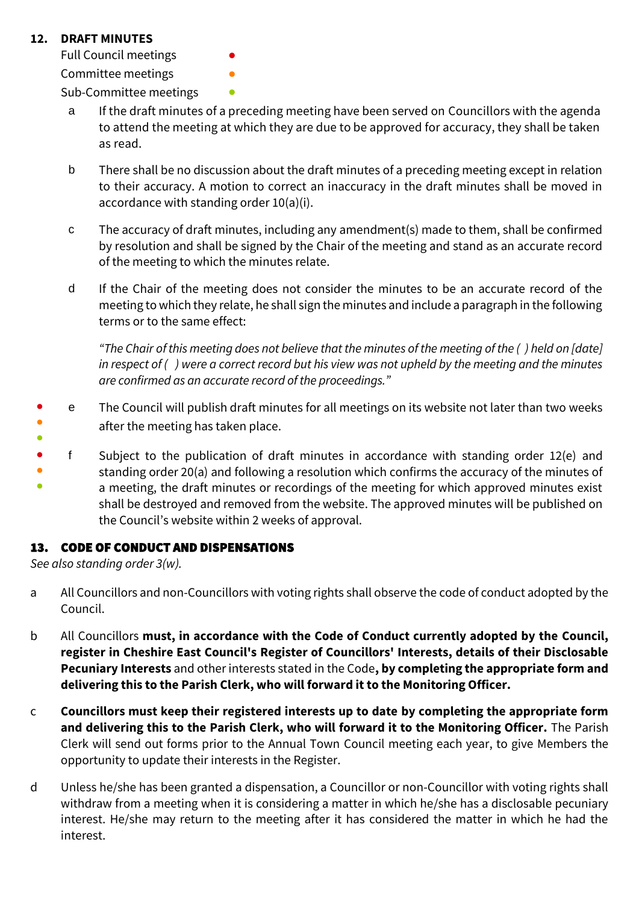### **12. DRAFT MINUTES**

Full Council meetings

Committee meetings **•** 

Sub-Committee meetings **•** 

- a If the draft minutes of a preceding meeting have been served on Councillors with the agenda to attend the meeting at which they are due to be approved for accuracy, they shall be taken as read.
- b There shall be no discussion about the draft minutes of a preceding meeting except in relation to their accuracy. A motion to correct an inaccuracy in the draft minutes shall be moved in accordance with standing order 10(a)(i).
- c The accuracy of draft minutes, including any amendment(s) made to them, shall be confirmed by resolution and shall be signed by the Chair of the meeting and stand as an accurate record of the meeting to which the minutes relate.
- d If the Chair of the meeting does not consider the minutes to be an accurate record of the meeting to which they relate, he shall sign the minutes and include a paragraph in the following terms or to the same effect:

*"The Chair of this meeting does not believe that the minutes of the meeting of the ( ) held on [date] in respect of ( ) were a correct record but his view was not upheld by the meeting and the minutes are confirmed as an accurate record of the proceedings."*

- ● ● e The Council will publish draft minutes for all meetings on its website not later than two weeks after the meeting has taken place.
- f Subject to the publication of draft minutes in accordance with standing order 12(e) and
- standing order 20(a) and following a resolution which confirms the accuracy of the minutes of
- a meeting, the draft minutes or recordings of the meeting for which approved minutes exist shall be destroyed and removed from the website. The approved minutes will be published on the Council's website within 2 weeks of approval.

### 13. CODE OF CONDUCT AND DISPENSATIONS

*See also standing order 3(w).*

- a All Councillors and non-Councillors with voting rights shall observe the code of conduct adopted by the Council.
- b All Councillors **must, in accordance with the Code of Conduct currently adopted by the Council, register in Cheshire East Council's Register of Councillors' Interests, details of their Disclosable Pecuniary Interests** and other interests stated in the Code**, by completing the appropriate form and delivering this to the Parish Clerk, who will forward it to the Monitoring Officer.**
- c **Councillors must keep their registered interests up to date by completing the appropriate form and delivering this to the Parish Clerk, who will forward it to the Monitoring Officer.** The Parish Clerk will send out forms prior to the Annual Town Council meeting each year, to give Members the opportunity to update their interests in the Register.
- d Unless he/she has been granted a dispensation, a Councillor or non-Councillor with voting rights shall withdraw from a meeting when it is considering a matter in which he/she has a disclosable pecuniary interest. He/she may return to the meeting after it has considered the matter in which he had the interest.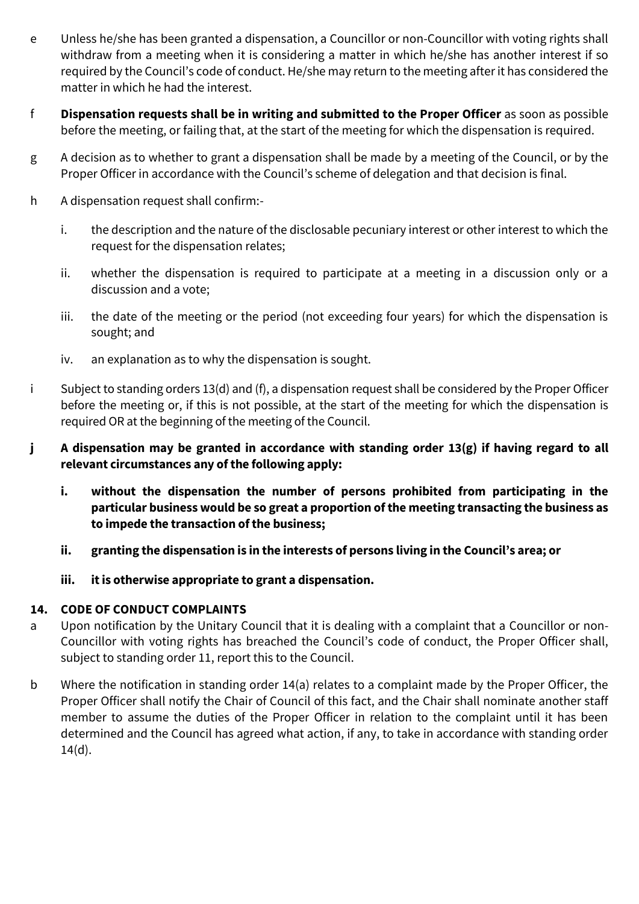- e Unless he/she has been granted a dispensation, a Councillor or non-Councillor with voting rights shall withdraw from a meeting when it is considering a matter in which he/she has another interest if so required by the Council's code of conduct. He/she may return to the meeting after it has considered the matter in which he had the interest.
- f **Dispensation requests shall be in writing and submitted to the Proper Officer** as soon as possible before the meeting, or failing that, at the start of the meeting for which the dispensation is required.
- g A decision as to whether to grant a dispensation shall be made by a meeting of the Council, or by the Proper Officer in accordance with the Council's scheme of delegation and that decision is final.
- h A dispensation request shall confirm:
	- i. the description and the nature of the disclosable pecuniary interest or other interest to which the request for the dispensation relates;
	- ii. whether the dispensation is required to participate at a meeting in a discussion only or a discussion and a vote;
	- iii. the date of the meeting or the period (not exceeding four years) for which the dispensation is sought; and
	- iv. an explanation as to why the dispensation is sought.
- i Subject to standing orders 13(d) and (f), a dispensation request shall be considered by the Proper Officer before the meeting or, if this is not possible, at the start of the meeting for which the dispensation is required OR at the beginning of the meeting of the Council.
- **j A dispensation may be granted in accordance with standing order 13(g) if having regard to all relevant circumstances any of the following apply:**
	- **i. without the dispensation the number of persons prohibited from participating in the particular business would be so great a proportion of the meeting transacting the business as to impede the transaction of the business;**
	- **ii. granting the dispensation is in the interests of persons living in the Council's area; or**
	- **iii. it is otherwise appropriate to grant a dispensation.**

### **14. CODE OF CONDUCT COMPLAINTS**

- a Upon notification by the Unitary Council that it is dealing with a complaint that a Councillor or non-Councillor with voting rights has breached the Council's code of conduct, the Proper Officer shall, subject to standing order 11, report this to the Council.
- b Where the notification in standing order 14(a) relates to a complaint made by the Proper Officer, the Proper Officer shall notify the Chair of Council of this fact, and the Chair shall nominate another staff member to assume the duties of the Proper Officer in relation to the complaint until it has been determined and the Council has agreed what action, if any, to take in accordance with standing order  $14(d)$ .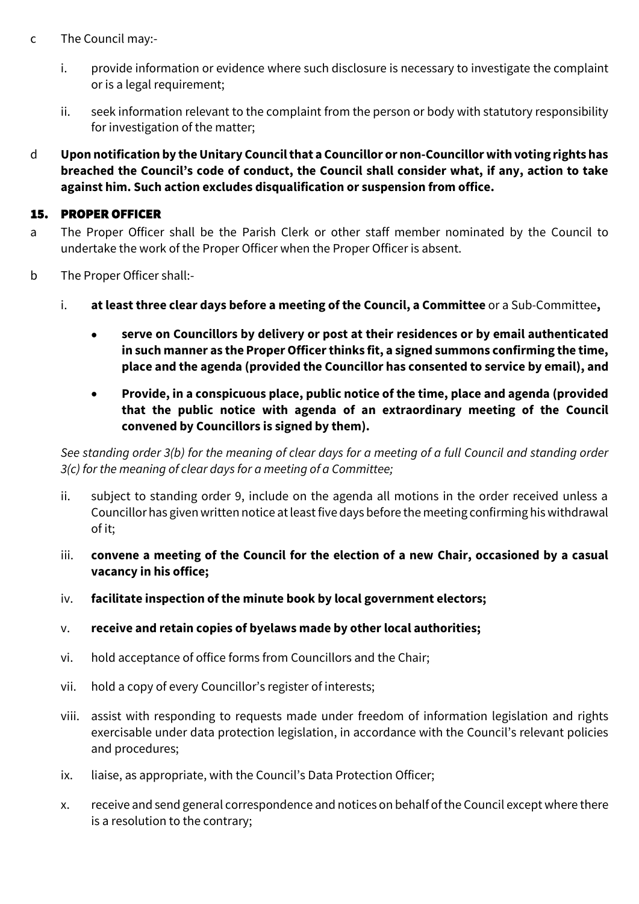- c The Council may:
	- i. provide information or evidence where such disclosure is necessary to investigate the complaint or is a legal requirement;
	- ii. seek information relevant to the complaint from the person or body with statutory responsibility for investigation of the matter;
- d **Upon notification by the Unitary Councilthat a Councillor or non-Councillor with voting rights has breached the Council's code of conduct, the Council shall consider what, if any, action to take against him. Such action excludes disqualification or suspension from office.**

### 15. PROPER OFFICER

- a The Proper Officer shall be the Parish Clerk or other staff member nominated by the Council to undertake the work of the Proper Officer when the Proper Officer is absent.
- b The Proper Officer shall:
	- i. **at least three clear days before a meeting of the Council, a Committee** or a Sub-Committee**,**
		- **serve on Councillors by delivery or post at their residences or by email authenticated in such manner as the Proper Officer thinks fit, a signed summons confirming the time, place and the agenda (provided the Councillor has consented to service by email), and**
		- **Provide, in a conspicuous place, public notice of the time, place and agenda (provided that the public notice with agenda of an extraordinary meeting of the Council convened by Councillors is signed by them).**

*See standing order 3(b) for the meaning of clear days for a meeting of a full Council and standing order 3(c) for the meaning of clear days for a meeting of a Committee;*

- ii. subject to standing order 9, include on the agenda all motions in the order received unless a Councillor has given written notice at least five days before the meeting confirming his withdrawal of it;
- iii. **convene a meeting of the Council for the election of a new Chair, occasioned by a casual vacancy in his office;**
- iv. **facilitate inspection of the minute book by local government electors;**
- v. **receive and retain copies of byelaws made by other local authorities;**
- vi. hold acceptance of office forms from Councillors and the Chair;
- vii. hold a copy of every Councillor's register of interests;
- viii. assist with responding to requests made under freedom of information legislation and rights exercisable under data protection legislation, in accordance with the Council's relevant policies and procedures;
- ix. liaise, as appropriate, with the Council's Data Protection Officer;
- x. receive and send general correspondence and notices on behalf of the Councilexcept where there is a resolution to the contrary;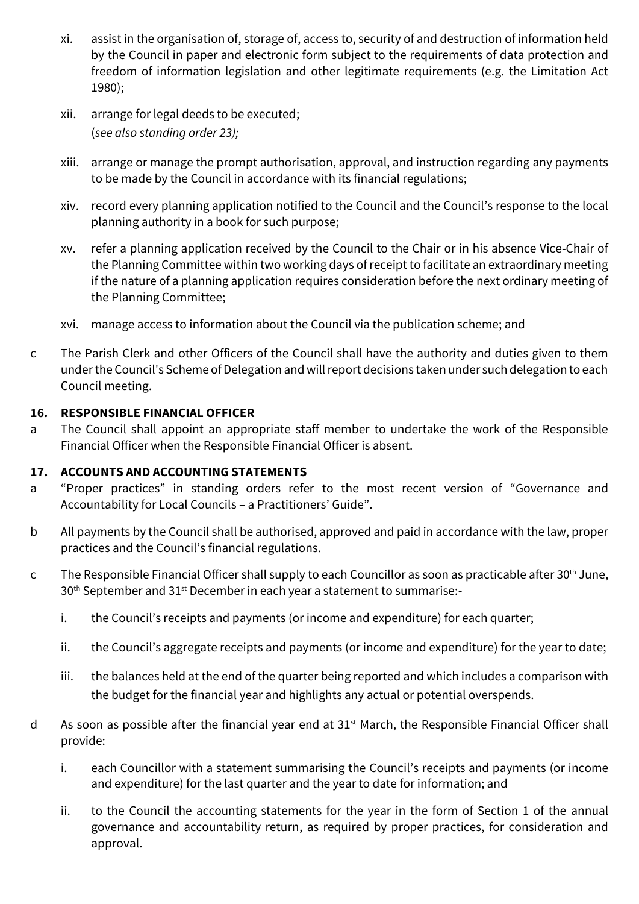- xi. assist in the organisation of, storage of, access to, security of and destruction of information held by the Council in paper and electronic form subject to the requirements of data protection and freedom of information legislation and other legitimate requirements (e.g. the Limitation Act 1980);
- xii. arrange for legal deeds to be executed; (*see also standing order 23);*
- xiii. arrange or manage the prompt authorisation, approval, and instruction regarding any payments to be made by the Council in accordance with its financial regulations;
- xiv. record every planning application notified to the Council and the Council's response to the local planning authority in a book for such purpose;
- xv. refer a planning application received by the Council to the Chair or in his absence Vice-Chair of the Planning Committee within two working days of receipt to facilitate an extraordinary meeting if the nature of a planning application requires consideration before the next ordinary meeting of the Planning Committee;
- xvi. manage access to information about the Council via the publication scheme; and
- c The Parish Clerk and other Officers of the Council shall have the authority and duties given to them under the Council's Scheme of Delegation and will report decisions taken under such delegation to each Council meeting.

### **16. RESPONSIBLE FINANCIAL OFFICER**

a The Council shall appoint an appropriate staff member to undertake the work of the Responsible Financial Officer when the Responsible Financial Officer is absent.

### **17. ACCOUNTS AND ACCOUNTING STATEMENTS**

- a "Proper practices" in standing orders refer to the most recent version of "Governance and Accountability for Local Councils – a Practitioners' Guide".
- b All payments by the Council shall be authorised, approved and paid in accordance with the law, proper practices and the Council's financial regulations.
- c The Responsible Financial Officer shall supply to each Councillor as soon as practicable after 30<sup>th</sup> June, 30<sup>th</sup> September and 31<sup>st</sup> December in each year a statement to summarise:
	- i. the Council's receipts and payments (or income and expenditure) for each quarter;
	- ii. the Council's aggregate receipts and payments (or income and expenditure) for the year to date;
	- iii. the balances held at the end of the quarter being reported and which includes a comparison with the budget for the financial year and highlights any actual or potential overspends.
- d As soon as possible after the financial year end at  $31<sup>st</sup>$  March, the Responsible Financial Officer shall provide:
	- i. each Councillor with a statement summarising the Council's receipts and payments (or income and expenditure) for the last quarter and the year to date for information; and
	- ii. to the Council the accounting statements for the year in the form of Section 1 of the annual governance and accountability return, as required by proper practices, for consideration and approval.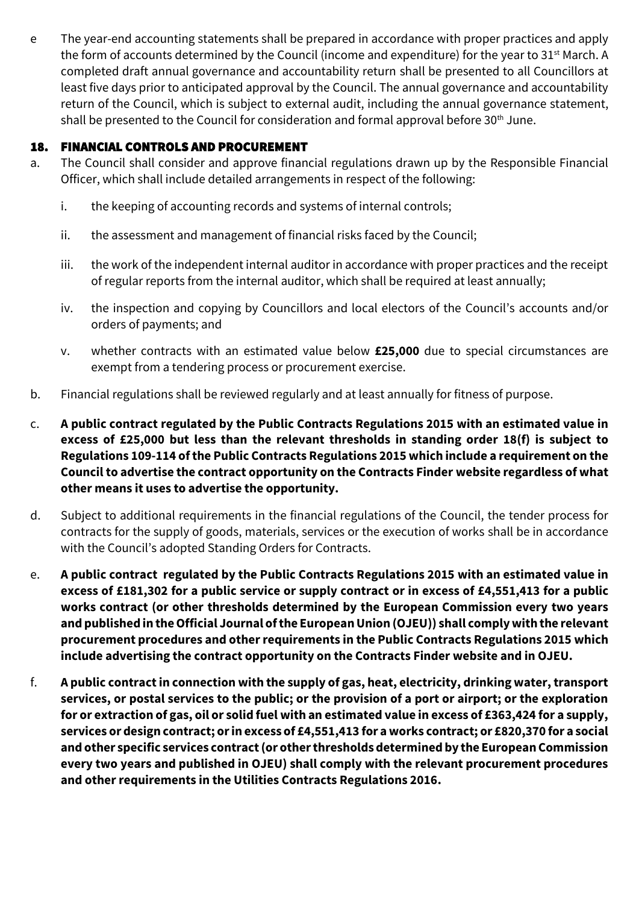e The year-end accounting statements shall be prepared in accordance with proper practices and apply the form of accounts determined by the Council (income and expenditure) for the year to 31<sup>st</sup> March. A completed draft annual governance and accountability return shall be presented to all Councillors at least five days prior to anticipated approval by the Council. The annual governance and accountability return of the Council, which is subject to external audit, including the annual governance statement, shall be presented to the Council for consideration and formal approval before 30<sup>th</sup> June.

### 18. FINANCIAL CONTROLS AND PROCUREMENT

- a. The Council shall consider and approve financial regulations drawn up by the Responsible Financial Officer, which shall include detailed arrangements in respect of the following:
	- i. the keeping of accounting records and systems of internal controls;
	- ii. the assessment and management of financial risks faced by the Council;
	- iii. the work of the independent internal auditor in accordance with proper practices and the receipt of regular reports from the internal auditor, which shall be required at least annually;
	- iv. the inspection and copying by Councillors and local electors of the Council's accounts and/or orders of payments; and
	- v. whether contracts with an estimated value below **£25,000** due to special circumstances are exempt from a tendering process or procurement exercise.
- b. Financial regulations shall be reviewed regularly and at least annually for fitness of purpose.
- c. **A public contract regulated by the Public Contracts Regulations 2015 with an estimated value in excess of £25,000 but less than the relevant thresholds in standing order 18(f) is subject to Regulations 109-114 ofthe Public Contracts Regulations 2015 which include a requirement on the Council to advertise the contract opportunity on the Contracts Finder website regardless of what other means it uses to advertise the opportunity.**
- d. Subject to additional requirements in the financial regulations of the Council, the tender process for contracts for the supply of goods, materials, services or the execution of works shall be in accordance with the Council's adopted Standing Orders for Contracts.
- e. **A public contract regulated by the Public Contracts Regulations 2015 with an estimated value in excess of £181,302 for a public service or supply contract or in excess of £4,551,413 for a public works contract (or other thresholds determined by the European Commission every two years and published in the Official Journal of the European Union (OJEU)) shall comply with the relevant procurement procedures and other requirements in the Public Contracts Regulations 2015 which include advertising the contract opportunity on the Contracts Finder website and in OJEU.**
- f. **A public contract in connection with the supply of gas, heat, electricity, drinking water, transport services, or postal services to the public; or the provision of a port or airport; or the exploration for or extraction of gas, oil or solid fuel with an estimated value in excess of £363,424 for a supply, services or design contract; or in excess of £4,551,413 for a works contract; or £820,370 for a social and other specific services contract (or other thresholds determined by the European Commission every two years and published in OJEU) shall comply with the relevant procurement procedures and other requirements in the Utilities Contracts Regulations 2016.**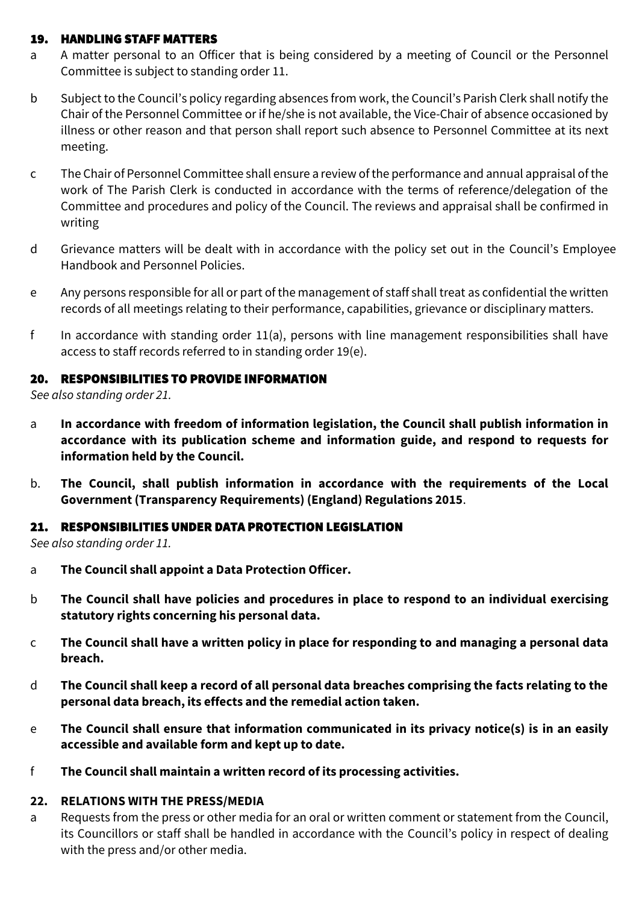### 19. HANDLING STAFF MATTERS

- a A matter personal to an Officer that is being considered by a meeting of Council or the Personnel Committee is subject to standing order 11.
- b Subject to the Council's policy regarding absences from work, the Council's Parish Clerk shall notify the Chair of the Personnel Committee or if he/she is not available, the Vice-Chair of absence occasioned by illness or other reason and that person shall report such absence to Personnel Committee at its next meeting.
- c The Chair of Personnel Committeeshall ensure a review of the performance and annual appraisal of the work of The Parish Clerk is conducted in accordance with the terms of reference/delegation of the Committee and procedures and policy of the Council. The reviews and appraisal shall be confirmed in writing
- d Grievance matters will be dealt with in accordance with the policy set out in the Council's Employee Handbook and Personnel Policies.
- e Any persons responsible for all or part of the management of staff shall treat as confidential the written records of all meetings relating to their performance, capabilities, grievance or disciplinary matters.
- f In accordance with standing order  $11(a)$ , persons with line management responsibilities shall have access to staff records referred to in standing order 19(e).

#### 20. RESPONSIBILITIES TO PROVIDE INFORMATION

*See also standing order 21.*

- a **In accordance with freedom of information legislation, the Council shall publish information in accordance with its publication scheme and information guide, and respond to requests for information held by the Council.**
- b. **The Council, shall publish information in accordance with the requirements of the Local Government (Transparency Requirements) (England) Regulations 2015**.

#### 21. RESPONSIBILITIES UNDER DATA PROTECTION LEGISLATION

*See also standing order 11.*

- a **The Council shall appoint a Data Protection Officer.**
- b **The Council shall have policies and procedures in place to respond to an individual exercising statutory rights concerning his personal data.**
- c **The Council shall have a written policy in place for responding to and managing a personal data breach.**
- d **The Council shall keep a record of all personal data breaches comprising the facts relating to the personal data breach, its effects and the remedial action taken.**
- e **The Council shall ensure that information communicated in its privacy notice(s) is in an easily accessible and available form and kept up to date.**
- f **The Council shall maintain a written record of its processing activities.**

#### **22. RELATIONS WITH THE PRESS/MEDIA**

a Requests from the press or other media for an oral or written comment or statement from the Council, its Councillors or staff shall be handled in accordance with the Council's policy in respect of dealing with the press and/or other media.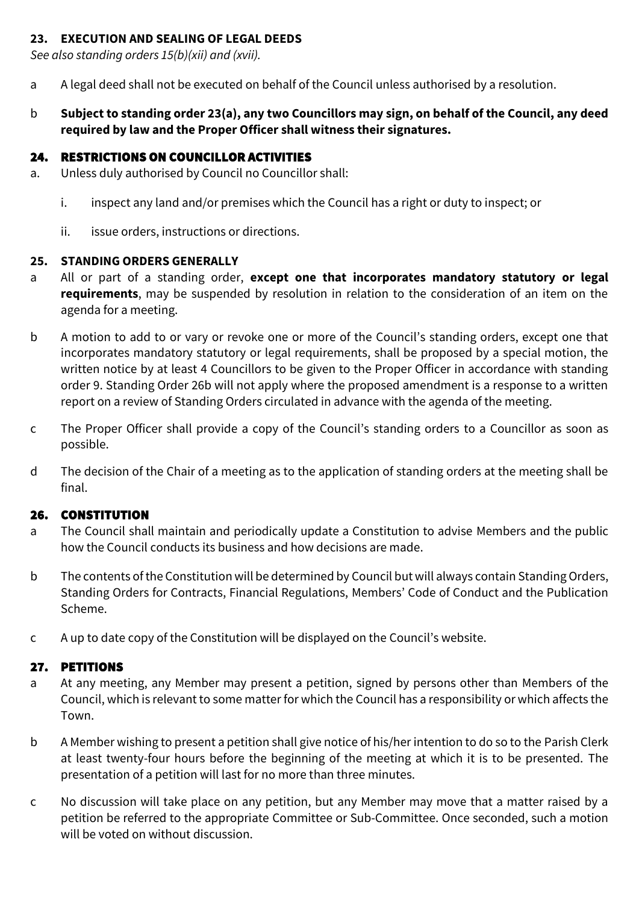### **23. EXECUTION AND SEALING OF LEGAL DEEDS**

*See also standing orders 15(b)(xii) and (xvii).*

- a A legal deed shall not be executed on behalf of the Council unless authorised by a resolution.
- b **Subject to standing order 23(a), any two Councillors may sign, on behalf of the Council, any deed required by law and the Proper Officer shall witness their signatures.**

# 24. RESTRICTIONS ON COUNCILLOR ACTIVITIES

- a. Unless duly authorised by Council no Councillor shall:
	- i. inspect any land and/or premises which the Council has a right or duty to inspect; or
	- ii. issue orders, instructions or directions.

## **25. STANDING ORDERS GENERALLY**

- a All or part of a standing order, **except one that incorporates mandatory statutory or legal requirements**, may be suspended by resolution in relation to the consideration of an item on the agenda for a meeting.
- b A motion to add to or vary or revoke one or more of the Council's standing orders, except one that incorporates mandatory statutory or legal requirements, shall be proposed by a special motion, the written notice by at least 4 Councillors to be given to the Proper Officer in accordance with standing order 9. Standing Order 26b will not apply where the proposed amendment is a response to a written report on a review of Standing Orders circulated in advance with the agenda of the meeting.
- c The Proper Officer shall provide a copy of the Council's standing orders to a Councillor as soon as possible.
- d The decision of the Chair of a meeting as to the application of standing orders at the meeting shall be final.

# 26. CONSTITUTION

- a The Council shall maintain and periodically update a Constitution to advise Members and the public how the Council conducts its business and how decisions are made.
- b The contents of the Constitution will be determined by Council but will always contain Standing Orders, Standing Orders for Contracts, Financial Regulations, Members' Code of Conduct and the Publication Scheme.
- c A up to date copy of the Constitution will be displayed on the Council's website.

# 27. PETITIONS

- a At any meeting, any Member may present a petition, signed by persons other than Members of the Council, which is relevant to some matter for which the Council has a responsibility or which affects the Town.
- b A Member wishing to present a petition shall give notice of his/her intention to do so to the Parish Clerk at least twenty-four hours before the beginning of the meeting at which it is to be presented. The presentation of a petition will last for no more than three minutes.
- c No discussion will take place on any petition, but any Member may move that a matter raised by a petition be referred to the appropriate Committee or Sub-Committee. Once seconded, such a motion will be voted on without discussion.